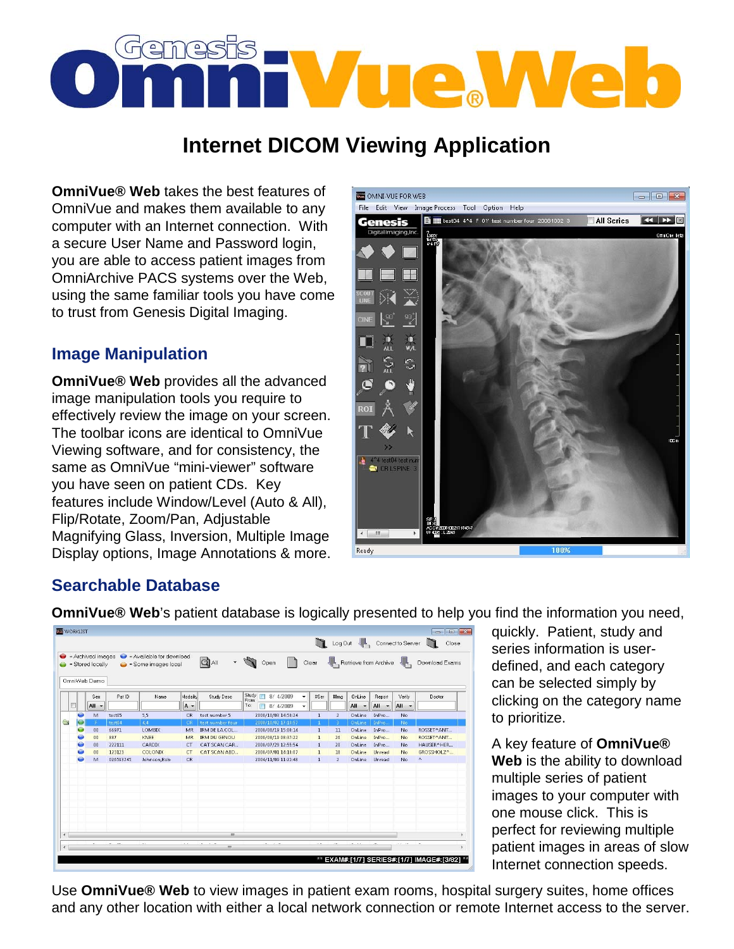# Genesis<br>Anima Vue Vve o

# **Internet DICOM Viewing Application**

**OmniVue® Web** takes the best features of OmniVue and makes them available to any computer with an Internet connection. With a secure User Name and Password login, you are able to access patient images from OmniArchive PACS systems over the Web, using the same familiar tools you have come to trust from Genesis Digital Imaging.

## **Image Manipulation**

**OmniVue® Web** provides all the advanced image manipulation tools you require to effectively review the image on your screen. The toolbar icons are identical to OmniVue Viewing software, and for consistency, the same as OmniVue "mini-viewer" software you have seen on patient CDs. Key features include Window/Level (Auto & All), Flip/Rotate, Zoom/Pan, Adjustable Magnifying Glass, Inversion, Multiple Image Display options, Image Annotations & more.



### **Searchable Database**

**OmniVue<sup>®</sup> Web**'s patient database is logically presented to help you find the information you need,

| $\bullet$  |           |                                  |           | $=$ Archived images $\qquad \qquad$ = Available for download |           |                     |                |                             |            |              |                |                                 |                                 |        | Log Out Connect to Server<br>Close |
|------------|-----------|----------------------------------|-----------|--------------------------------------------------------------|-----------|---------------------|----------------|-----------------------------|------------|--------------|----------------|---------------------------------|---------------------------------|--------|------------------------------------|
| $\bullet$  |           | = Stored locally<br>OmniWeb Demo |           | $\bullet$ = Some images local                                |           | $Q$ all             |                | $\cdot$ $\bigcirc$ Open   ] |            |              |                | Clear Retrieve from Archive     |                                 |        | Download Exams                     |
|            |           | Sex                              | Pat ID    | Name                                                         | Modality  | Study Desc          | Study<br>From: | 8/4/2009<br>$\Box$          | ۰          | #Ser         | #Img           | OnLine                          | Report                          | Verify | Doctor                             |
| E          |           | $All -$                          |           |                                                              | A-        |                     | To:            | 8/4/2009<br>$\Box$          | $\check{}$ |              |                | All<br>$\overline{\phantom{a}}$ | All<br>$\overline{\phantom{a}}$ | All -  |                                    |
|            | ◒         | M                                | test05    | 5.5                                                          | CR.       | test number 5       |                | 2008/10/03 14:50:24         |            | $\mathbf{1}$ | $\overline{2}$ | OnLine                          | InPro                           | No     |                                    |
| G          | G         |                                  | test04    | 4,4                                                          | CR        | test number four    |                | 2008/10/02 17:18:57         |            | $\mathbf{1}$ | 3              | OnLine                          | InPro                           | No     |                                    |
|            | $\bullet$ | 00                               | 66971     | LOMBIX                                                       | MR        | IRM DE LA COL       |                | 2008/08/19 15:00:14         |            | $\mathbf{1}$ | 11             | OnLine                          | InPro                           | No     | ROSSET^ANT                         |
|            | 0         | 00                               | 887       | <b>KNEE</b>                                                  | <b>MR</b> | <b>IRM DU GENOU</b> |                | 2008/08/19 08:37:22         |            | $\mathbf{1}$ | 26             | OnLine                          | InPro                           | No.    | ROSSET^ANT                         |
|            | ۵         | 00                               | 222111    | CARDIX                                                       | <b>CT</b> | CAT SCAN CAR        |                | 2008/07/29 12:55:54         |            | $\mathbf{1}$ | 20             | OnLine                          | InPro                           | No.    | HAUSER^HER                         |
|            | $\bullet$ | 00                               | 123123    | COLONIX                                                      | CT        | CAT SCAN ABD        |                | 2008/07/01 14:10:07         |            | $\mathbf{1}$ | 18             | OnLine                          | Unread                          | No.    | GROSSHOLZ^                         |
|            | ø         | M                                | 026593745 | Johnson, Bob                                                 | CR.       |                     |                | 2004/11/09 11:22:48         |            | $\mathbf{1}$ | $\overline{2}$ | OnLine                          | Unread                          | No.    | ٨                                  |
|            |           |                                  |           |                                                              |           |                     |                |                             |            |              |                |                                 |                                 |        |                                    |
|            |           |                                  |           |                                                              |           |                     |                |                             |            |              |                |                                 |                                 |        |                                    |
|            |           |                                  |           |                                                              |           |                     |                |                             |            |              |                |                                 |                                 |        |                                    |
|            |           |                                  |           |                                                              |           |                     |                |                             |            |              |                |                                 |                                 |        |                                    |
|            |           |                                  |           |                                                              |           |                     |                |                             |            |              |                |                                 |                                 |        |                                    |
|            |           |                                  |           |                                                              |           |                     |                |                             |            |              |                |                                 |                                 |        |                                    |
|            |           |                                  |           |                                                              |           |                     |                |                             |            |              |                |                                 |                                 |        |                                    |
|            |           |                                  |           |                                                              |           |                     |                |                             |            |              |                |                                 |                                 |        |                                    |
| $\epsilon$ |           |                                  |           |                                                              |           | m                   |                |                             |            |              |                |                                 |                                 |        |                                    |
|            |           |                                  |           |                                                              |           |                     |                |                             |            |              |                |                                 |                                 | - -    |                                    |
| $\epsilon$ |           |                                  |           |                                                              |           | m                   |                |                             |            |              |                |                                 |                                 |        |                                    |

quickly. Patient, study and series information is userdefined, and each category can be selected simply by clicking on the category name to prioritize.

A key feature of **OmniVue® Web** is the ability to download multiple series of patient images to your computer with one mouse click. This is perfect for reviewing multiple patient images in areas of slow Internet connection speeds.

Use **OmniVue® Web** to view images in patient exam rooms, hospital surgery suites, home offices and any other location with either a local network connection or remote Internet access to the server.